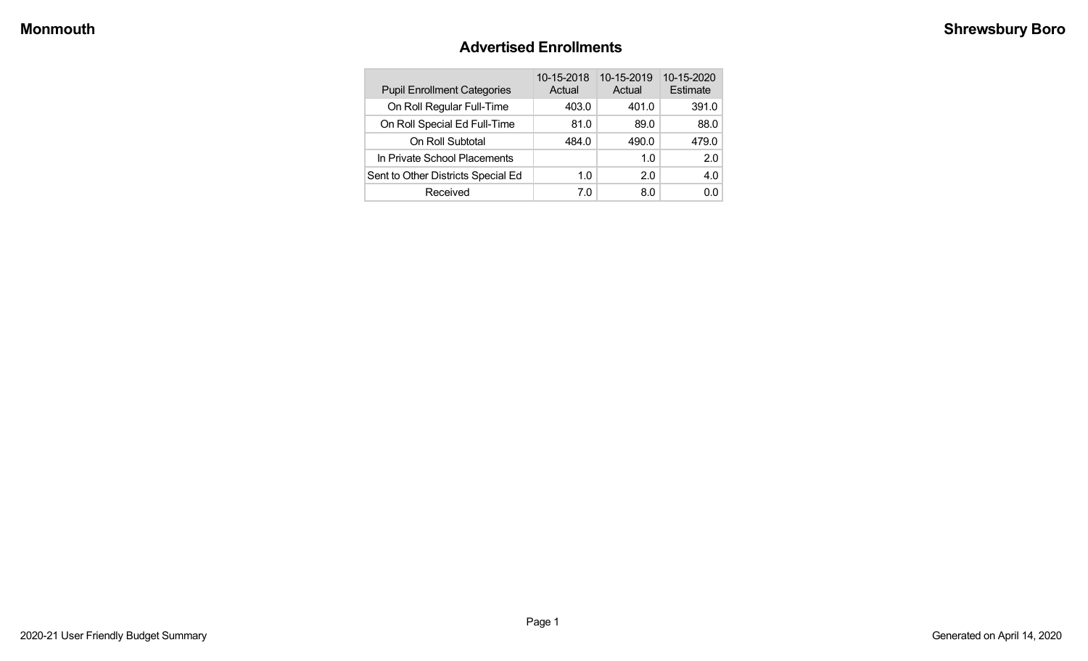#### **Advertised Enrollments**

| <b>Pupil Enrollment Categories</b> | 10-15-2018<br>Actual | 10-15-2019<br>Actual | 10-15-2020<br>Estimate |
|------------------------------------|----------------------|----------------------|------------------------|
| On Roll Regular Full-Time          | 403.0                | 401.0                | 391.0                  |
| On Roll Special Ed Full-Time       | 81.0                 | 89.0                 | 88.0                   |
| On Roll Subtotal                   | 484.0                | 490.0                | 479.0                  |
| In Private School Placements       |                      | 1.0                  | 2.0                    |
| Sent to Other Districts Special Ed | 1.0                  | 2.0                  | 4.0                    |
| Received                           | 7.0                  | 8.0                  | 0.0                    |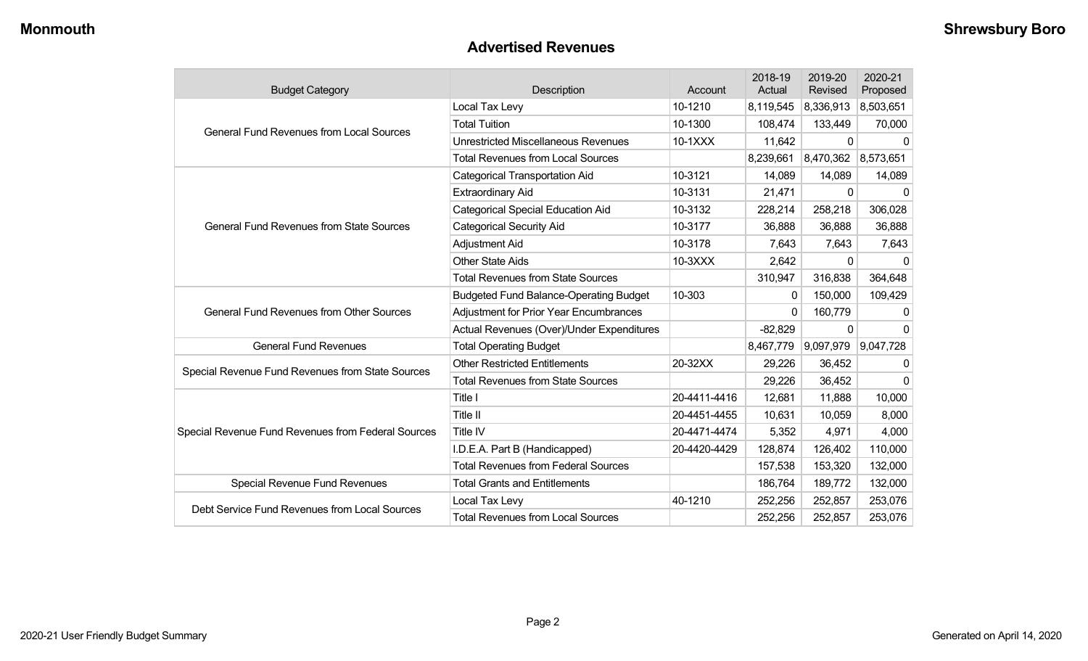#### **Advertised Revenues**

| <b>Budget Category</b>                             | Description                                   | Account      | 2018-19<br>Actual | 2019-20<br>Revised  | 2020-21<br>Proposed |
|----------------------------------------------------|-----------------------------------------------|--------------|-------------------|---------------------|---------------------|
|                                                    | Local Tax Levy                                | 10-1210      | 8,119,545         | 8,336,913           | 8,503,651           |
| <b>General Fund Revenues from Local Sources</b>    | <b>Total Tuition</b>                          | 10-1300      | 108,474           | 133,449             | 70,000              |
|                                                    | <b>Unrestricted Miscellaneous Revenues</b>    | 10-1XXX      | 11,642            | 0                   | 0                   |
|                                                    | <b>Total Revenues from Local Sources</b>      |              | 8,239,661         | 8,470,362 8,573,651 |                     |
|                                                    | <b>Categorical Transportation Aid</b>         | 10-3121      | 14,089            | 14,089              | 14,089              |
|                                                    | <b>Extraordinary Aid</b>                      | 10-3131      | 21,471            | 0                   | 0                   |
|                                                    | <b>Categorical Special Education Aid</b>      | 10-3132      | 228,214           | 258,218             | 306,028             |
| <b>General Fund Revenues from State Sources</b>    | <b>Categorical Security Aid</b>               | 10-3177      | 36,888            | 36,888              | 36,888              |
|                                                    | Adjustment Aid                                | 10-3178      | 7,643             | 7,643               | 7,643               |
|                                                    | <b>Other State Aids</b>                       | 10-3XXX      | 2,642             | $\mathbf 0$         | $\Omega$            |
|                                                    | <b>Total Revenues from State Sources</b>      |              | 310,947           | 316,838             | 364,648             |
|                                                    | <b>Budgeted Fund Balance-Operating Budget</b> | 10-303       | 0                 | 150,000             | 109,429             |
| <b>General Fund Revenues from Other Sources</b>    | <b>Adjustment for Prior Year Encumbrances</b> |              | $\Omega$          | 160,779             | 0                   |
|                                                    | Actual Revenues (Over)/Under Expenditures     |              | $-82,829$         | $\mathbf{0}$        | $\Omega$            |
| <b>General Fund Revenues</b>                       | <b>Total Operating Budget</b>                 |              | 8,467,779         | 9,097,979           | 9,047,728           |
| Special Revenue Fund Revenues from State Sources   | <b>Other Restricted Entitlements</b>          | 20-32XX      | 29,226            | 36,452              | 0                   |
|                                                    | <b>Total Revenues from State Sources</b>      |              | 29,226            | 36,452              | 0                   |
|                                                    | Title I                                       | 20-4411-4416 | 12,681            | 11,888              | 10,000              |
|                                                    | Title II                                      | 20-4451-4455 | 10,631            | 10,059              | 8,000               |
| Special Revenue Fund Revenues from Federal Sources | Title IV                                      | 20-4471-4474 | 5,352             | 4,971               | 4,000               |
|                                                    | I.D.E.A. Part B (Handicapped)                 | 20-4420-4429 | 128,874           | 126,402             | 110,000             |
|                                                    | <b>Total Revenues from Federal Sources</b>    |              | 157,538           | 153,320             | 132,000             |
| Special Revenue Fund Revenues                      | <b>Total Grants and Entitlements</b>          |              | 186,764           | 189,772             | 132,000             |
| Debt Service Fund Revenues from Local Sources      | Local Tax Levy                                | 40-1210      | 252,256           | 252,857             | 253,076             |
|                                                    | <b>Total Revenues from Local Sources</b>      |              | 252,256           | 252,857             | 253,076             |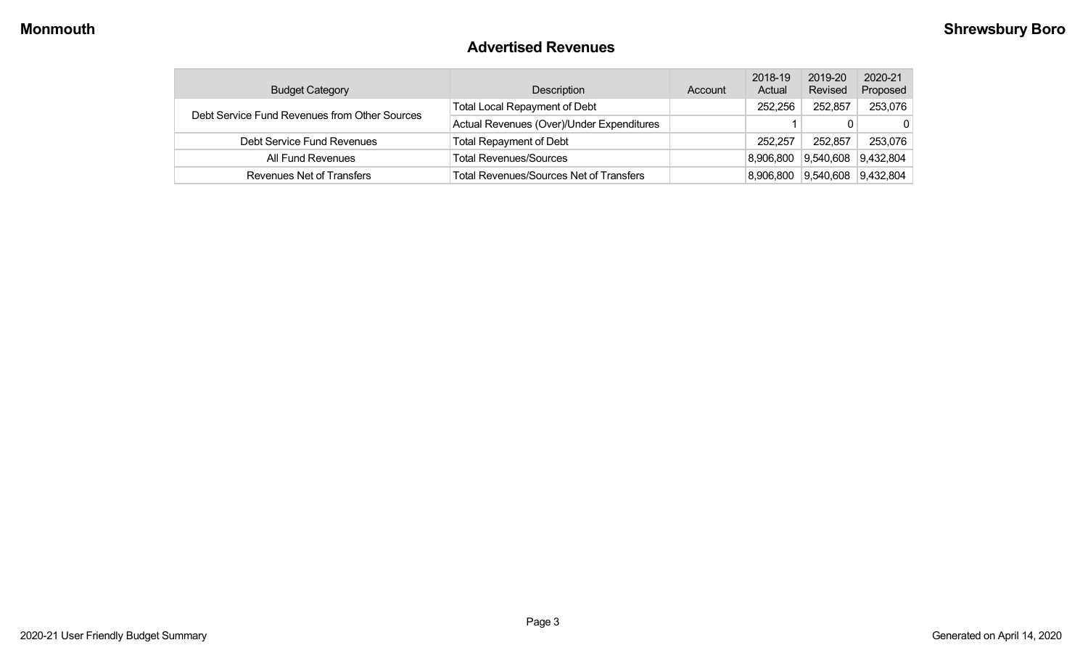#### **Advertised Revenues**

| <b>Budget Category</b>                        | Description                                    | Account | 2018-19<br>Actual | 2019-20<br>Revised | 2020-21<br>Proposed |
|-----------------------------------------------|------------------------------------------------|---------|-------------------|--------------------|---------------------|
| Debt Service Fund Revenues from Other Sources | <b>Total Local Repayment of Debt</b>           |         | 252.256           | 252,857            | 253,076             |
|                                               | Actual Revenues (Over)/Under Expenditures      |         |                   |                    | $\mathbf{0}$        |
| Debt Service Fund Revenues                    | Total Repayment of Debt                        |         | 252,257           | 252,857            | 253,076             |
| All Fund Revenues                             | <b>Total Revenues/Sources</b>                  |         | 8,906,800         | 9,540,608          | 9,432,804           |
| Revenues Net of Transfers                     | <b>Total Revenues/Sources Net of Transfers</b> |         | 8,906,800         | 9,540,608          | 9,432,804           |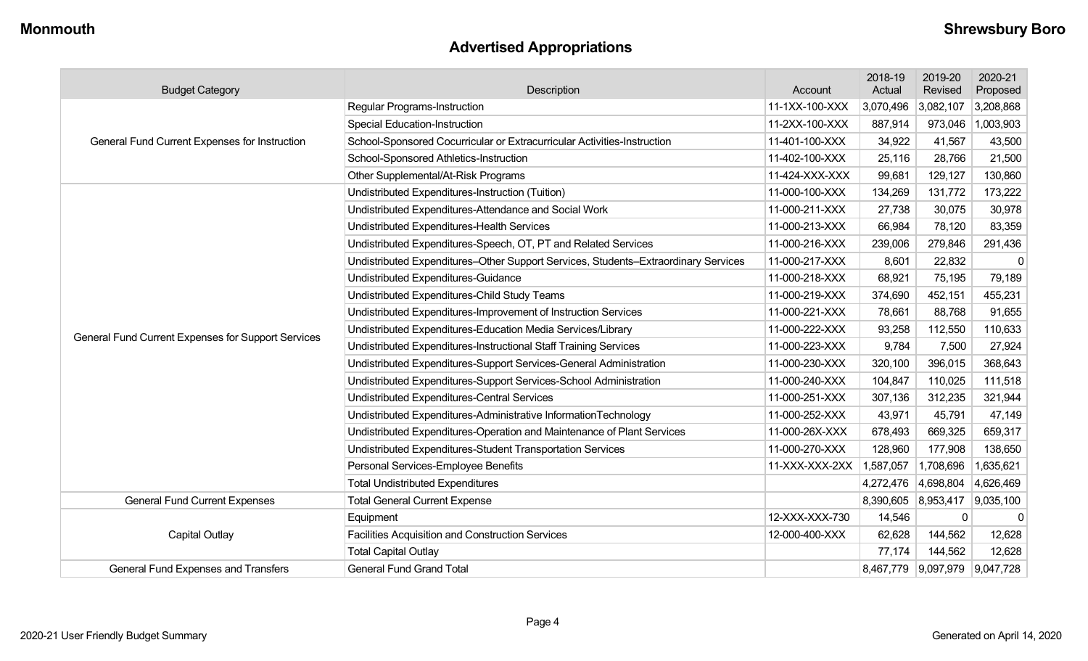## **Advertised Appropriations**

| <b>Budget Category</b>                                                       | Description                                                                        | Account        | 2018-19<br>Actual | 2019-20<br>Revised            | 2020-21<br>Proposed |
|------------------------------------------------------------------------------|------------------------------------------------------------------------------------|----------------|-------------------|-------------------------------|---------------------|
|                                                                              | <b>Regular Programs-Instruction</b><br>11-1XX-100-XXX                              |                | 3,070,496         | 3,082,107                     | 3,208,868           |
|                                                                              | <b>Special Education-Instruction</b>                                               | 11-2XX-100-XXX | 887,914           | 973,046                       | 1,003,903           |
| General Fund Current Expenses for Instruction                                | School-Sponsored Cocurricular or Extracurricular Activities-Instruction            | 11-401-100-XXX | 34,922            | 41,567                        | 43,500              |
|                                                                              | School-Sponsored Athletics-Instruction                                             | 11-402-100-XXX | 25,116            | 28,766                        | 21,500              |
|                                                                              | Other Supplemental/At-Risk Programs                                                | 11-424-XXX-XXX | 99,681            | 129,127                       | 130,860             |
|                                                                              | Undistributed Expenditures-Instruction (Tuition)                                   | 11-000-100-XXX | 134,269           | 131,772                       | 173,222             |
|                                                                              | Undistributed Expenditures-Attendance and Social Work                              | 11-000-211-XXX | 27,738            | 30,075                        | 30,978              |
|                                                                              | Undistributed Expenditures-Health Services                                         | 11-000-213-XXX | 66,984            | 78,120                        | 83,359              |
|                                                                              | Undistributed Expenditures-Speech, OT, PT and Related Services                     | 11-000-216-XXX | 239,006           | 279,846                       | 291,436             |
|                                                                              | Undistributed Expenditures-Other Support Services, Students-Extraordinary Services | 11-000-217-XXX | 8,601             | 22,832                        | 0                   |
|                                                                              | <b>Undistributed Expenditures-Guidance</b>                                         | 11-000-218-XXX | 68,921            | 75,195                        | 79,189              |
|                                                                              | Undistributed Expenditures-Child Study Teams                                       | 11-000-219-XXX | 374,690           | 452,151                       | 455,231             |
|                                                                              | Undistributed Expenditures-Improvement of Instruction Services                     | 11-000-221-XXX | 78,661            | 88,768                        | 91,655              |
| General Fund Current Expenses for Support Services                           | Undistributed Expenditures-Education Media Services/Library                        | 11-000-222-XXX | 93,258            | 112,550                       | 110,633             |
|                                                                              | Undistributed Expenditures-Instructional Staff Training Services                   | 11-000-223-XXX | 9,784             | 7,500                         | 27,924              |
|                                                                              | Undistributed Expenditures-Support Services-General Administration                 | 11-000-230-XXX | 320,100           | 396,015                       | 368,643             |
|                                                                              | Undistributed Expenditures-Support Services-School Administration                  | 11-000-240-XXX | 104,847           | 110,025                       | 111,518             |
|                                                                              | Undistributed Expenditures-Central Services                                        | 11-000-251-XXX | 307,136           | 312,235                       | 321,944             |
|                                                                              | Undistributed Expenditures-Administrative InformationTechnology                    | 11-000-252-XXX | 43,971            | 45,791                        | 47,149              |
|                                                                              | Undistributed Expenditures-Operation and Maintenance of Plant Services             | 11-000-26X-XXX | 678,493           | 669,325                       | 659,317             |
|                                                                              | Undistributed Expenditures-Student Transportation Services                         | 11-000-270-XXX | 128,960           | 177,908                       | 138,650             |
|                                                                              | Personal Services-Employee Benefits                                                | 11-XXX-XXX-2XX | 1,587,057         | 1,708,696                     | 1,635,621           |
|                                                                              | <b>Total Undistributed Expenditures</b>                                            |                | 4,272,476         | 4,698,804                     | 4,626,469           |
| <b>Total General Current Expense</b><br><b>General Fund Current Expenses</b> |                                                                                    |                | 8,390,605         | 8,953,417                     | 9,035,100           |
|                                                                              | Equipment                                                                          | 12-XXX-XXX-730 | 14,546            | 0                             | $\mathbf 0$         |
| Capital Outlay                                                               | <b>Facilities Acquisition and Construction Services</b>                            | 12-000-400-XXX | 62,628            | 144,562                       | 12,628              |
|                                                                              | <b>Total Capital Outlay</b>                                                        |                | 77,174            | 144,562                       | 12,628              |
| General Fund Expenses and Transfers                                          | <b>General Fund Grand Total</b>                                                    |                |                   | 8,467,779 9,097,979 9,047,728 |                     |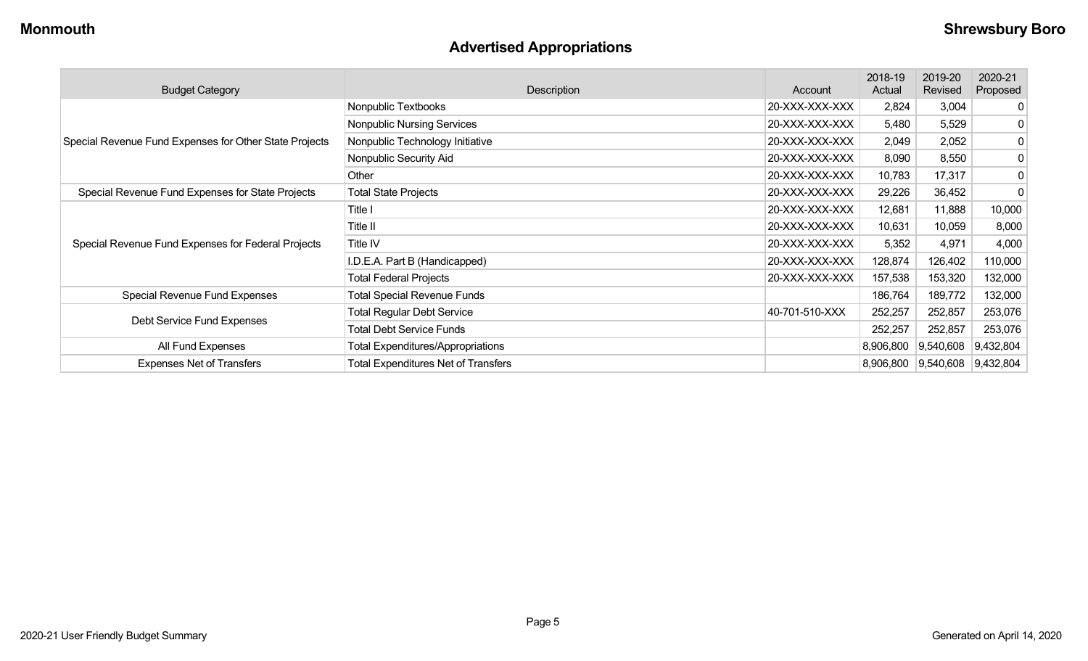## **Advertised Appropriations**

| <b>Budget Category</b>                                        | Description                                | Account        | 2018-19<br>Actual | 2019-20<br>Revised  | 2020-21<br>Proposed |
|---------------------------------------------------------------|--------------------------------------------|----------------|-------------------|---------------------|---------------------|
|                                                               | Nonpublic Textbooks                        | 20-XXX-XXX-XXX | 2,824             | 3,004               | 0                   |
|                                                               | Nonpublic Nursing Services                 | 20-XXX-XXX-XXX | 5,480             | 5,529               | 0                   |
| Special Revenue Fund Expenses for Other State Projects        | Nonpublic Technology Initiative            | 20-XXX-XXX-XXX | 2,049             | 2,052               | 0                   |
|                                                               | Nonpublic Security Aid                     | 20-XXX-XXX-XXX | 8,090             | 8,550               | 0                   |
|                                                               | Other                                      | 20-XXX-XXX-XXX | 10,783            | 17,317              | 0                   |
| Special Revenue Fund Expenses for State Projects              | <b>Total State Projects</b>                | 20-XXX-XXX-XXX | 29,226            | 36,452              | 0                   |
|                                                               | Title I                                    | 20-XXX-XXX-XXX | 12,681            | 11,888              | 10,000              |
|                                                               | Title II                                   | 20-XXX-XXX-XXX | 10,631            | 10,059              | 8,000               |
| Special Revenue Fund Expenses for Federal Projects            | Title IV                                   | 20-XXX-XXX-XXX | 5,352             | 4,971               | 4,000               |
|                                                               | I.D.E.A. Part B (Handicapped)              | 20-XXX-XXX-XXX | 128,874           | 126,402             | 110,000             |
|                                                               | <b>Total Federal Projects</b>              | 20-XXX-XXX-XXX | 157,538           | 153,320             | 132,000             |
| Special Revenue Fund Expenses                                 | <b>Total Special Revenue Funds</b>         |                | 186,764           | 189,772             | 132,000             |
| Debt Service Fund Expenses                                    | <b>Total Regular Debt Service</b>          | 40-701-510-XXX | 252,257           | 252,857             | 253,076             |
|                                                               | <b>Total Debt Service Funds</b>            |                | 252,257           | 252,857             | 253,076             |
| All Fund Expenses<br><b>Total Expenditures/Appropriations</b> |                                            |                | 8,906,800         | 9,540,608           | 9,432,804           |
| <b>Expenses Net of Transfers</b>                              | <b>Total Expenditures Net of Transfers</b> |                | 8,906,800         | 9,540,608 9,432,804 |                     |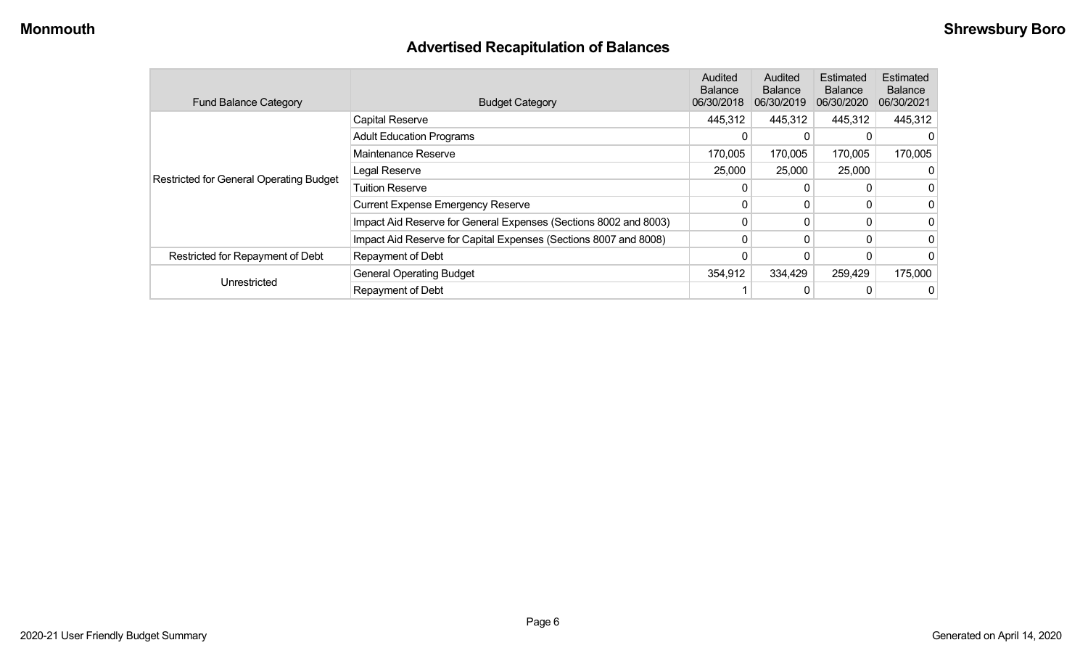## **Advertised Recapitulation of Balances**

| <b>Fund Balance Category</b>                   | <b>Budget Category</b>                                           | Audited<br><b>Balance</b><br>06/30/2018 | Audited<br><b>Balance</b><br>06/30/2019 | Estimated<br><b>Balance</b><br>06/30/2020 | Estimated<br><b>Balance</b><br>06/30/2021 |
|------------------------------------------------|------------------------------------------------------------------|-----------------------------------------|-----------------------------------------|-------------------------------------------|-------------------------------------------|
|                                                | <b>Capital Reserve</b>                                           | 445,312                                 | 445,312                                 | 445,312                                   | 445,312                                   |
|                                                | <b>Adult Education Programs</b>                                  | 0                                       | 0                                       |                                           |                                           |
|                                                | Maintenance Reserve                                              | 170,005                                 | 170,005                                 | 170,005                                   | 170,005                                   |
|                                                | Legal Reserve                                                    | 25,000                                  | 25,000                                  | 25,000                                    |                                           |
| <b>Restricted for General Operating Budget</b> | <b>Tuition Reserve</b>                                           | 0                                       | 0                                       |                                           |                                           |
|                                                | <b>Current Expense Emergency Reserve</b>                         | 0                                       | $\Omega$                                |                                           |                                           |
|                                                | Impact Aid Reserve for General Expenses (Sections 8002 and 8003) | 0                                       | $\Omega$                                | 0                                         |                                           |
|                                                | Impact Aid Reserve for Capital Expenses (Sections 8007 and 8008) | 0                                       | $\mathbf{0}$                            |                                           |                                           |
| Restricted for Repayment of Debt               | Repayment of Debt                                                |                                         |                                         |                                           |                                           |
|                                                | <b>General Operating Budget</b>                                  | 354,912                                 | 334,429                                 | 259,429                                   | 175,000                                   |
| Unrestricted                                   | Repayment of Debt                                                |                                         | 0                                       |                                           |                                           |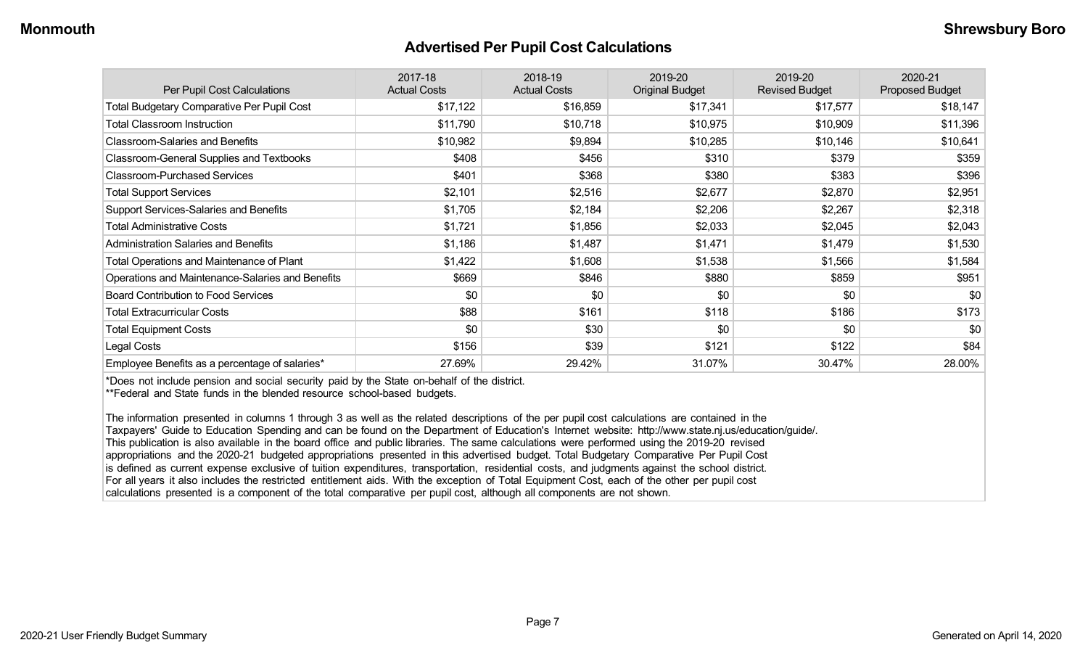#### **Advertised Per Pupil Cost Calculations**

| Per Pupil Cost Calculations                       | 2017-18<br><b>Actual Costs</b> | 2018-19<br><b>Actual Costs</b> | 2019-20<br><b>Original Budget</b> | 2019-20<br><b>Revised Budget</b> | 2020-21<br><b>Proposed Budget</b> |
|---------------------------------------------------|--------------------------------|--------------------------------|-----------------------------------|----------------------------------|-----------------------------------|
| <b>Total Budgetary Comparative Per Pupil Cost</b> | \$17,122                       | \$16,859                       | \$17,341                          | \$17,577                         | \$18,147                          |
| <b>Total Classroom Instruction</b>                | \$11,790                       | \$10,718                       | \$10,975                          | \$10,909                         | \$11,396                          |
| <b>Classroom-Salaries and Benefits</b>            | \$10,982                       | \$9,894                        | \$10,285                          | \$10,146                         | \$10,641                          |
| Classroom-General Supplies and Textbooks          | \$408                          | \$456                          | \$310                             | \$379                            | \$359                             |
| <b>Classroom-Purchased Services</b>               | \$401                          | \$368                          | \$380                             | \$383                            | \$396                             |
| <b>Total Support Services</b>                     | \$2,101                        | \$2,516                        | \$2,677                           | \$2,870                          | \$2,951                           |
| Support Services-Salaries and Benefits            | \$1,705                        | \$2,184                        | \$2,206                           | \$2,267                          | \$2,318                           |
| <b>Total Administrative Costs</b>                 | \$1,721                        | \$1,856                        | \$2,033                           | \$2,045                          | \$2,043                           |
| <b>Administration Salaries and Benefits</b>       | \$1,186                        | \$1,487                        | \$1,471                           | \$1,479                          | \$1,530                           |
| Total Operations and Maintenance of Plant         | \$1,422                        | \$1,608                        | \$1,538                           | \$1,566                          | \$1,584                           |
| Operations and Maintenance-Salaries and Benefits  | \$669                          | \$846                          | \$880                             | \$859                            | \$951                             |
| <b>Board Contribution to Food Services</b>        | \$0                            | \$0                            | \$0                               | \$0                              | \$0                               |
| <b>Total Extracurricular Costs</b>                | \$88                           | \$161                          | \$118                             | \$186                            | \$173                             |
| <b>Total Equipment Costs</b>                      | \$0                            | \$30                           | \$0                               | \$0                              | \$0                               |
| Legal Costs                                       | \$156                          | \$39                           | \$121                             | \$122                            | \$84                              |
| Employee Benefits as a percentage of salaries*    | 27.69%                         | 29.42%                         | 31.07%                            | 30.47%                           | 28.00%                            |

\*Does not include pension and social security paid by the State on-behalf of the district.

\*\*Federal and State funds in the blended resource school-based budgets.

The information presented in columns 1 through 3 as well as the related descriptions of the per pupil cost calculations are contained in the Taxpayers' Guide to Education Spending and can be found on the Department of Education's Internet website: http://www.state.nj.us/education/guide/. This publication is also available in the board office and public libraries. The same calculations were performed using the 2019-20 revised appropriations and the 2020-21 budgeted appropriations presented in this advertised budget. Total Budgetary Comparative Per Pupil Cost is defined as current expense exclusive of tuition expenditures, transportation, residential costs, and judgments against the school district. For all years it also includes the restricted entitlement aids. With the exception of Total Equipment Cost, each of the other per pupil cost calculations presented is a component of the total comparative per pupil cost, although all components are not shown.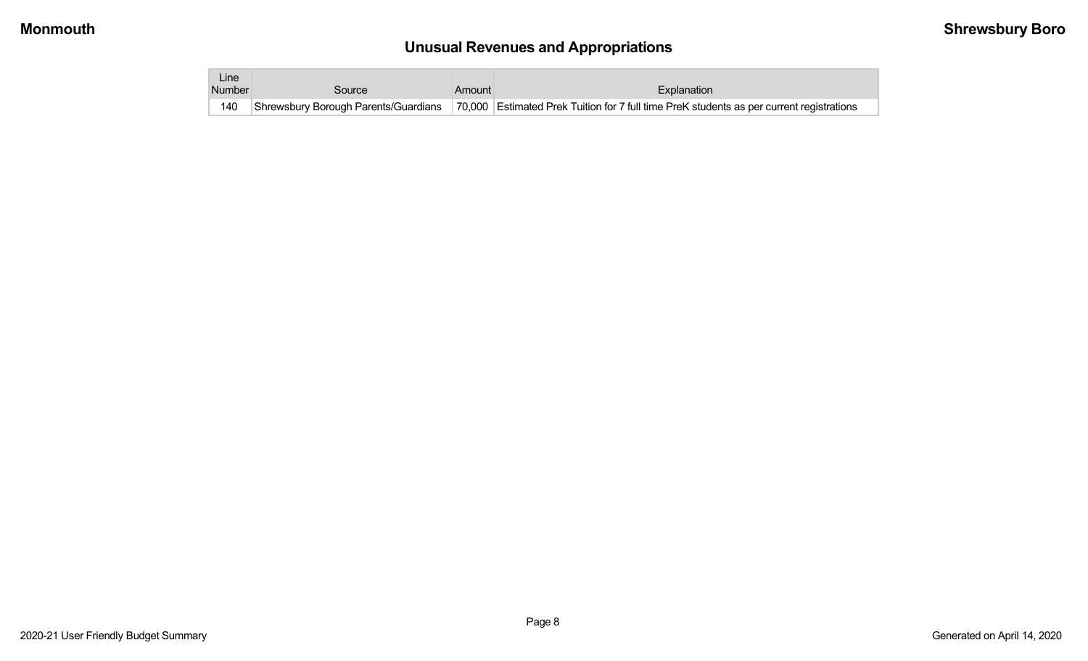# **Unusual Revenues and Appropriations**

| ∟ine i        |        |        |                                                                                                                               |
|---------------|--------|--------|-------------------------------------------------------------------------------------------------------------------------------|
| <b>Number</b> | Source | Amount | Explanation                                                                                                                   |
| 140           |        |        | Shrewsbury Borough Parents/Guardians 70,000 Estimated Prek Tuition for 7 full time PreK students as per current registrations |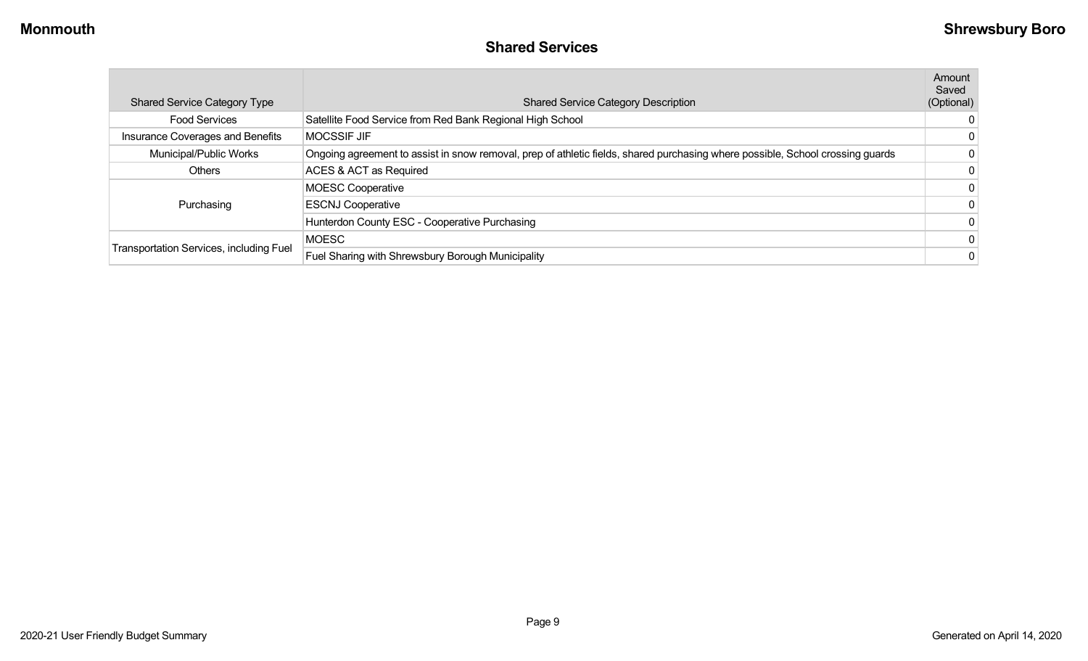#### **Shared Services**

| <b>Shared Service Category Type</b>            | <b>Shared Service Category Description</b>                                                                                     | Amount<br>Saved<br>(Optional) |
|------------------------------------------------|--------------------------------------------------------------------------------------------------------------------------------|-------------------------------|
| <b>Food Services</b>                           | Satellite Food Service from Red Bank Regional High School                                                                      | $\Omega$                      |
| Insurance Coverages and Benefits               | <b>MOCSSIF JIF</b>                                                                                                             |                               |
| Municipal/Public Works                         | Ongoing agreement to assist in snow removal, prep of athletic fields, shared purchasing where possible, School crossing guards |                               |
| <b>Others</b>                                  | ACES & ACT as Required                                                                                                         |                               |
|                                                | <b>MOESC Cooperative</b>                                                                                                       | $\mathbf{0}$                  |
| Purchasing                                     | <b>ESCNJ Cooperative</b>                                                                                                       |                               |
|                                                | Hunterdon County ESC - Cooperative Purchasing                                                                                  | $\mathbf{0}$                  |
|                                                | <b>MOESC</b>                                                                                                                   |                               |
| <b>Transportation Services, including Fuel</b> | Fuel Sharing with Shrewsbury Borough Municipality                                                                              | $\mathbf{0}$                  |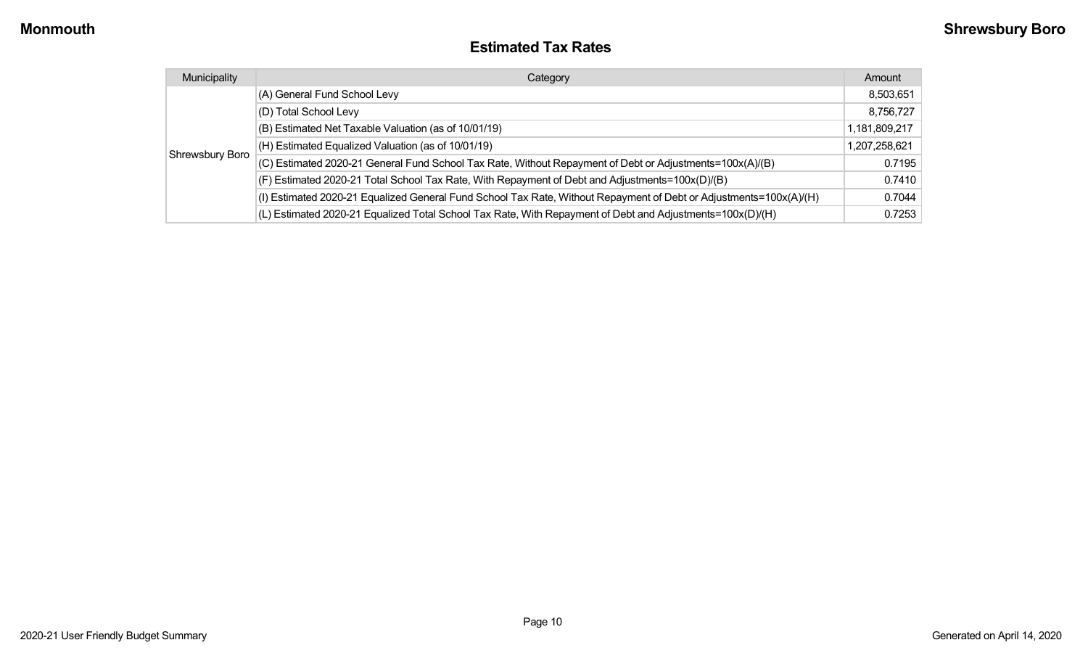#### **Estimated Tax Rates**

| Municipality    | Category                                                                                                           | Amount        |
|-----------------|--------------------------------------------------------------------------------------------------------------------|---------------|
|                 | (A) General Fund School Levy                                                                                       | 8,503,651     |
|                 | (D) Total School Levy                                                                                              | 8,756,727     |
|                 | (B) Estimated Net Taxable Valuation (as of 10/01/19)                                                               | 1,181,809,217 |
|                 | (H) Estimated Equalized Valuation (as of 10/01/19)                                                                 | 1,207,258,621 |
| Shrewsbury Boro | (C) Estimated 2020-21 General Fund School Tax Rate, Without Repayment of Debt or Adjustments=100x(A)/(B)           | 0.7195        |
|                 | (F) Estimated 2020-21 Total School Tax Rate, With Repayment of Debt and Adjustments=100x(D)/(B)                    | 0.7410        |
|                 | (I) Estimated 2020-21 Equalized General Fund School Tax Rate, Without Repayment of Debt or Adjustments=100x(A)/(H) | 0.7044        |
|                 | (L) Estimated 2020-21 Equalized Total School Tax Rate, With Repayment of Debt and Adjustments=100x(D)/(H)          | 0.7253        |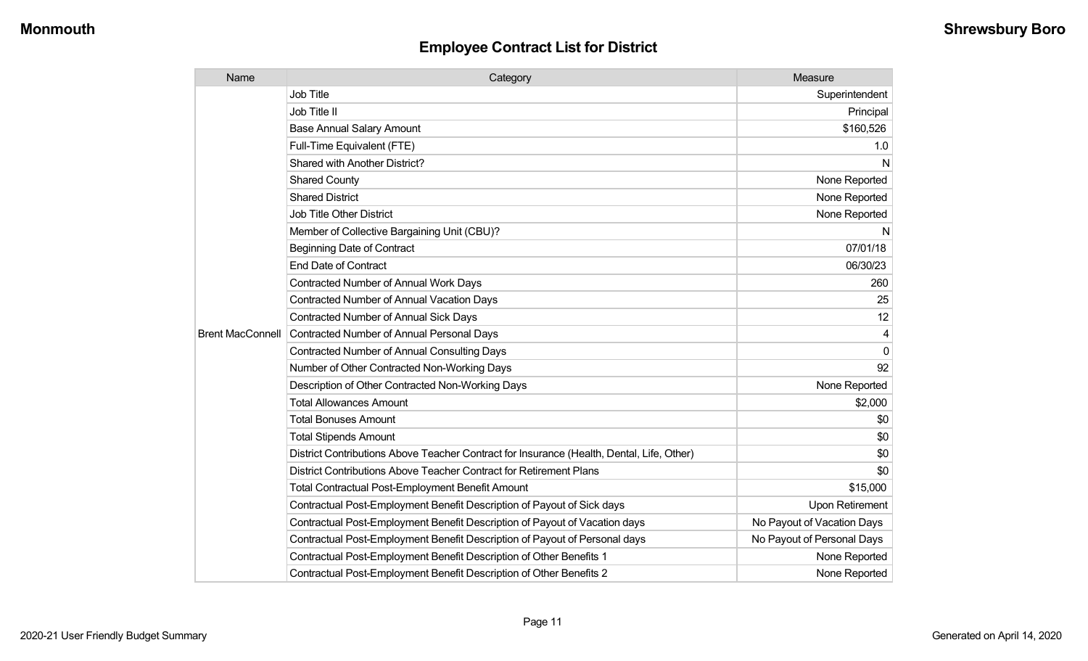| Name                    | Category                                                                                  | Measure                    |
|-------------------------|-------------------------------------------------------------------------------------------|----------------------------|
|                         | <b>Job Title</b>                                                                          | Superintendent             |
|                         | Job Title II                                                                              | Principal                  |
|                         | <b>Base Annual Salary Amount</b>                                                          | \$160,526                  |
|                         | Full-Time Equivalent (FTE)                                                                | 1.0                        |
|                         | Shared with Another District?                                                             | N                          |
|                         | <b>Shared County</b>                                                                      | None Reported              |
|                         | <b>Shared District</b>                                                                    | None Reported              |
|                         | <b>Job Title Other District</b>                                                           | None Reported              |
|                         | Member of Collective Bargaining Unit (CBU)?                                               | N                          |
|                         | <b>Beginning Date of Contract</b>                                                         | 07/01/18                   |
|                         | <b>End Date of Contract</b>                                                               | 06/30/23                   |
|                         | <b>Contracted Number of Annual Work Days</b>                                              | 260                        |
|                         | <b>Contracted Number of Annual Vacation Days</b>                                          | 25                         |
|                         | <b>Contracted Number of Annual Sick Days</b>                                              | 12                         |
| <b>Brent MacConnell</b> | Contracted Number of Annual Personal Days                                                 | 4                          |
|                         | <b>Contracted Number of Annual Consulting Days</b>                                        | $\Omega$                   |
|                         | Number of Other Contracted Non-Working Days                                               | 92                         |
|                         | Description of Other Contracted Non-Working Days                                          | None Reported              |
|                         | <b>Total Allowances Amount</b>                                                            | \$2,000                    |
|                         | <b>Total Bonuses Amount</b>                                                               | \$0                        |
|                         | <b>Total Stipends Amount</b>                                                              | \$0                        |
|                         | District Contributions Above Teacher Contract for Insurance (Health, Dental, Life, Other) | \$0                        |
|                         | District Contributions Above Teacher Contract for Retirement Plans                        | \$0                        |
|                         | <b>Total Contractual Post-Employment Benefit Amount</b>                                   | \$15,000                   |
|                         | Contractual Post-Employment Benefit Description of Payout of Sick days                    | Upon Retirement            |
|                         | Contractual Post-Employment Benefit Description of Payout of Vacation days                | No Payout of Vacation Days |
|                         | Contractual Post-Employment Benefit Description of Payout of Personal days                | No Payout of Personal Days |
|                         | Contractual Post-Employment Benefit Description of Other Benefits 1                       | None Reported              |
|                         | Contractual Post-Employment Benefit Description of Other Benefits 2                       | None Reported              |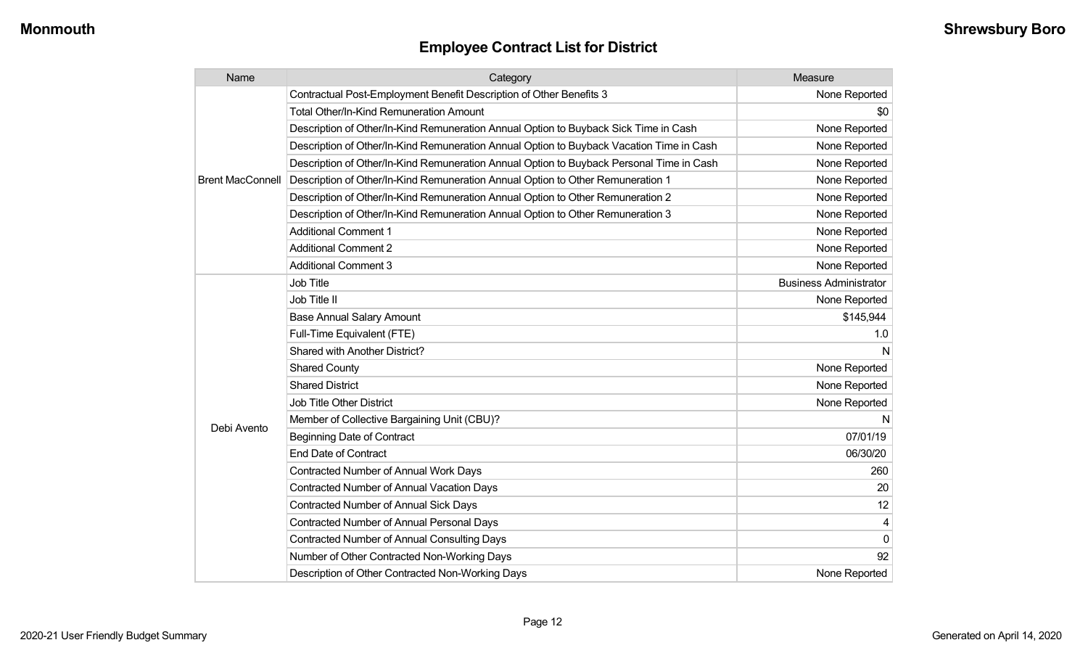| Name                    | Category                                                                                 | Measure                       |
|-------------------------|------------------------------------------------------------------------------------------|-------------------------------|
|                         | Contractual Post-Employment Benefit Description of Other Benefits 3                      | None Reported                 |
|                         | Total Other/In-Kind Remuneration Amount                                                  | \$0                           |
|                         | Description of Other/In-Kind Remuneration Annual Option to Buyback Sick Time in Cash     | None Reported                 |
|                         | Description of Other/In-Kind Remuneration Annual Option to Buyback Vacation Time in Cash | None Reported                 |
|                         | Description of Other/In-Kind Remuneration Annual Option to Buyback Personal Time in Cash | None Reported                 |
| <b>Brent MacConnell</b> | Description of Other/In-Kind Remuneration Annual Option to Other Remuneration 1          | None Reported                 |
|                         | Description of Other/In-Kind Remuneration Annual Option to Other Remuneration 2          | None Reported                 |
|                         | Description of Other/In-Kind Remuneration Annual Option to Other Remuneration 3          | None Reported                 |
|                         | <b>Additional Comment 1</b>                                                              | None Reported                 |
|                         | <b>Additional Comment 2</b>                                                              | None Reported                 |
|                         | <b>Additional Comment 3</b>                                                              | None Reported                 |
|                         | <b>Job Title</b>                                                                         | <b>Business Administrator</b> |
|                         | Job Title II                                                                             | None Reported                 |
|                         | <b>Base Annual Salary Amount</b>                                                         | \$145,944                     |
|                         | Full-Time Equivalent (FTE)                                                               | 1.0                           |
|                         | Shared with Another District?                                                            | N                             |
|                         | <b>Shared County</b>                                                                     | None Reported                 |
|                         | <b>Shared District</b>                                                                   | None Reported                 |
|                         | Job Title Other District                                                                 | None Reported                 |
|                         | Member of Collective Bargaining Unit (CBU)?                                              | N                             |
| Debi Avento             | <b>Beginning Date of Contract</b>                                                        | 07/01/19                      |
|                         | <b>End Date of Contract</b>                                                              | 06/30/20                      |
|                         | Contracted Number of Annual Work Days                                                    | 260                           |
|                         | <b>Contracted Number of Annual Vacation Days</b>                                         | 20                            |
|                         | <b>Contracted Number of Annual Sick Days</b>                                             | 12                            |
|                         | Contracted Number of Annual Personal Days                                                | 4                             |
|                         | Contracted Number of Annual Consulting Days                                              | $\Omega$                      |
|                         | Number of Other Contracted Non-Working Days                                              | 92                            |
|                         | Description of Other Contracted Non-Working Days                                         | None Reported                 |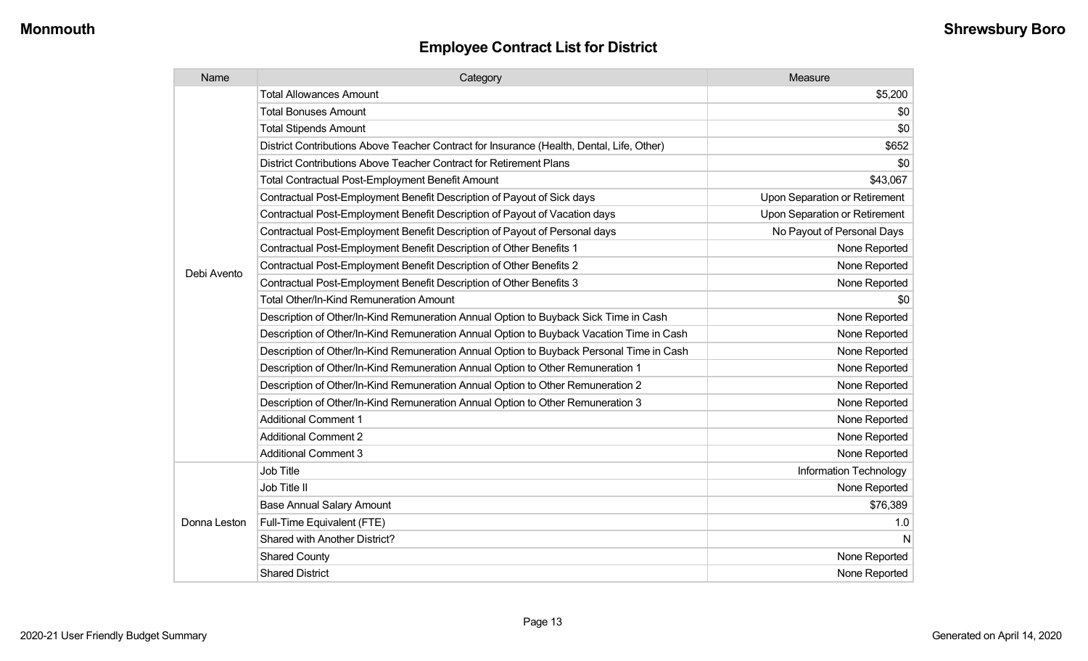| Name         | Category                                                                                  | Measure                       |
|--------------|-------------------------------------------------------------------------------------------|-------------------------------|
|              | <b>Total Allowances Amount</b>                                                            | \$5,200                       |
|              | <b>Total Bonuses Amount</b>                                                               | \$0                           |
|              | <b>Total Stipends Amount</b>                                                              | \$0                           |
|              | District Contributions Above Teacher Contract for Insurance (Health, Dental, Life, Other) | \$652                         |
|              | District Contributions Above Teacher Contract for Retirement Plans                        | \$0                           |
|              | <b>Total Contractual Post-Employment Benefit Amount</b>                                   | \$43,067                      |
|              | Contractual Post-Employment Benefit Description of Payout of Sick days                    | Upon Separation or Retirement |
|              | Contractual Post-Employment Benefit Description of Payout of Vacation days                | Upon Separation or Retirement |
|              | Contractual Post-Employment Benefit Description of Payout of Personal days                | No Payout of Personal Days    |
|              | Contractual Post-Employment Benefit Description of Other Benefits 1                       | None Reported                 |
|              | Contractual Post-Employment Benefit Description of Other Benefits 2                       | None Reported                 |
| Debi Avento  | Contractual Post-Employment Benefit Description of Other Benefits 3                       | None Reported                 |
|              | Total Other/In-Kind Remuneration Amount                                                   | \$0                           |
|              | Description of Other/In-Kind Remuneration Annual Option to Buyback Sick Time in Cash      | None Reported                 |
|              | Description of Other/In-Kind Remuneration Annual Option to Buyback Vacation Time in Cash  | None Reported                 |
|              | Description of Other/In-Kind Remuneration Annual Option to Buyback Personal Time in Cash  | None Reported                 |
|              | Description of Other/In-Kind Remuneration Annual Option to Other Remuneration 1           | None Reported                 |
|              | Description of Other/In-Kind Remuneration Annual Option to Other Remuneration 2           | None Reported                 |
|              | Description of Other/In-Kind Remuneration Annual Option to Other Remuneration 3           | None Reported                 |
|              | <b>Additional Comment 1</b>                                                               | None Reported                 |
|              | <b>Additional Comment 2</b>                                                               | None Reported                 |
|              | <b>Additional Comment 3</b>                                                               | None Reported                 |
|              | Job Title                                                                                 | Information Technology        |
| Donna Leston | Job Title II                                                                              | None Reported                 |
|              | <b>Base Annual Salary Amount</b>                                                          | \$76,389                      |
|              | Full-Time Equivalent (FTE)                                                                | 1.0                           |
|              | Shared with Another District?                                                             | N                             |
|              | <b>Shared County</b>                                                                      | None Reported                 |
|              | <b>Shared District</b>                                                                    | None Reported                 |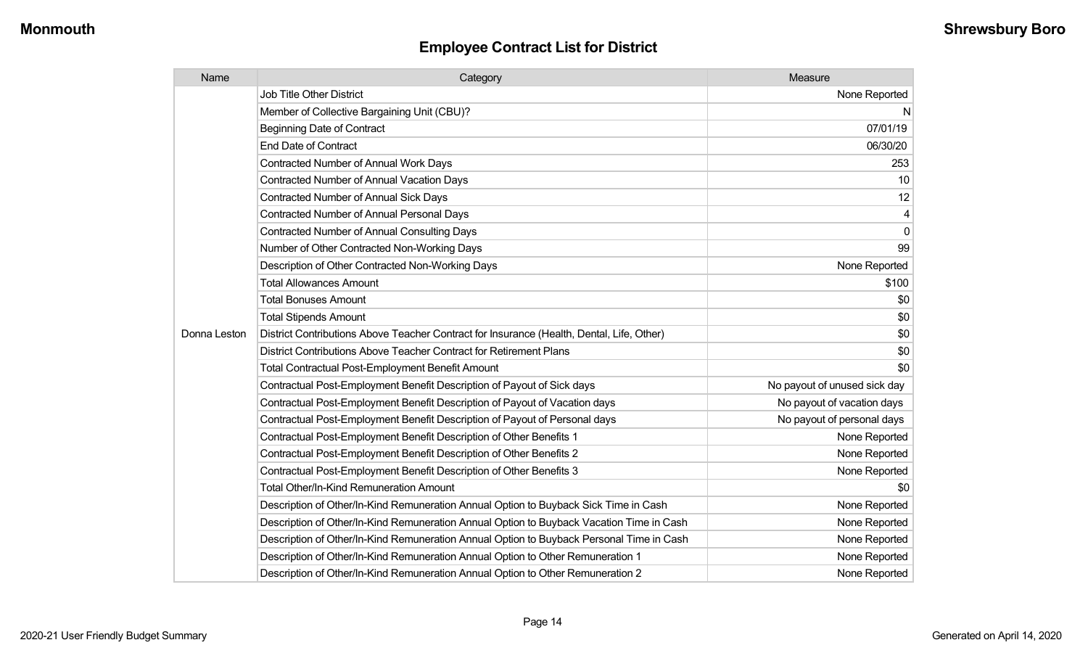| Name         | Category                                                                                  | Measure                      |
|--------------|-------------------------------------------------------------------------------------------|------------------------------|
|              | <b>Job Title Other District</b>                                                           | None Reported                |
|              | Member of Collective Bargaining Unit (CBU)?                                               | $\mathsf{N}$                 |
|              | <b>Beginning Date of Contract</b>                                                         | 07/01/19                     |
|              | <b>End Date of Contract</b>                                                               | 06/30/20                     |
|              | <b>Contracted Number of Annual Work Days</b>                                              | 253                          |
|              | <b>Contracted Number of Annual Vacation Days</b>                                          | 10                           |
|              | <b>Contracted Number of Annual Sick Days</b>                                              | 12                           |
|              | <b>Contracted Number of Annual Personal Days</b>                                          | 4                            |
|              | <b>Contracted Number of Annual Consulting Days</b>                                        | $\overline{0}$               |
|              | Number of Other Contracted Non-Working Days                                               | 99                           |
|              | Description of Other Contracted Non-Working Days                                          | None Reported                |
|              | <b>Total Allowances Amount</b>                                                            | \$100                        |
|              | <b>Total Bonuses Amount</b>                                                               | \$0                          |
|              | <b>Total Stipends Amount</b>                                                              | \$0                          |
| Donna Leston | District Contributions Above Teacher Contract for Insurance (Health, Dental, Life, Other) | \$0                          |
|              | District Contributions Above Teacher Contract for Retirement Plans                        | \$0                          |
|              | <b>Total Contractual Post-Employment Benefit Amount</b>                                   | \$0                          |
|              | Contractual Post-Employment Benefit Description of Payout of Sick days                    | No payout of unused sick day |
|              | Contractual Post-Employment Benefit Description of Payout of Vacation days                | No payout of vacation days   |
|              | Contractual Post-Employment Benefit Description of Payout of Personal days                | No payout of personal days   |
|              | Contractual Post-Employment Benefit Description of Other Benefits 1                       | None Reported                |
|              | Contractual Post-Employment Benefit Description of Other Benefits 2                       | None Reported                |
|              | Contractual Post-Employment Benefit Description of Other Benefits 3                       | None Reported                |
|              | <b>Total Other/In-Kind Remuneration Amount</b>                                            | \$0                          |
|              | Description of Other/In-Kind Remuneration Annual Option to Buyback Sick Time in Cash      | None Reported                |
|              | Description of Other/In-Kind Remuneration Annual Option to Buyback Vacation Time in Cash  | None Reported                |
|              | Description of Other/In-Kind Remuneration Annual Option to Buyback Personal Time in Cash  | None Reported                |
|              | Description of Other/In-Kind Remuneration Annual Option to Other Remuneration 1           | None Reported                |
|              | Description of Other/In-Kind Remuneration Annual Option to Other Remuneration 2           | None Reported                |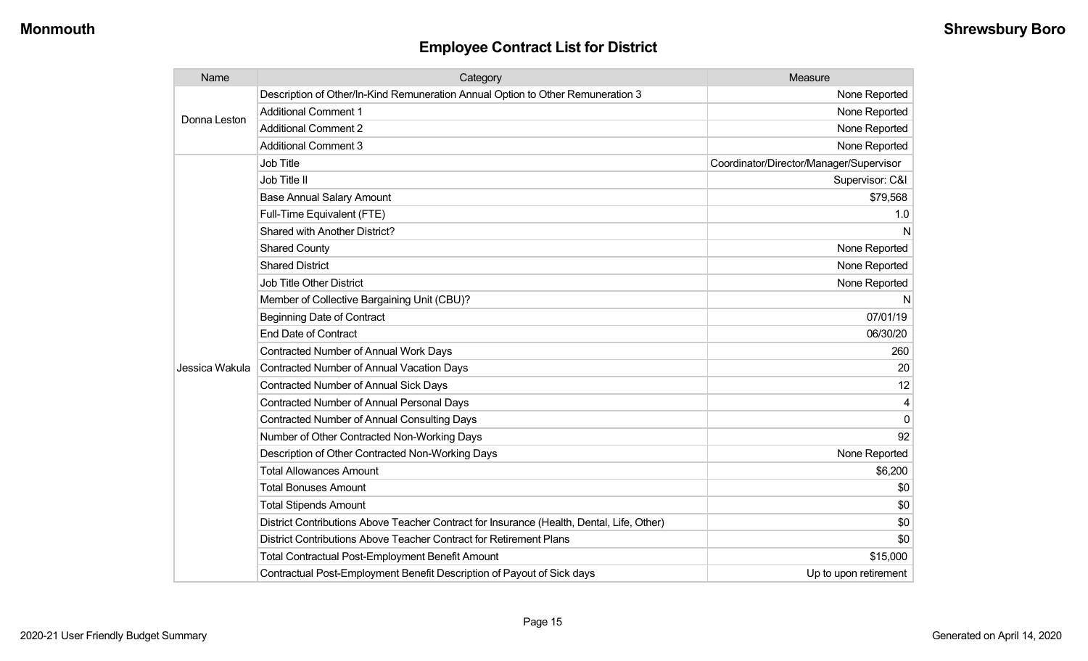| Name           | Category                                                                                  | Measure                                 |
|----------------|-------------------------------------------------------------------------------------------|-----------------------------------------|
| Donna Leston   | Description of Other/In-Kind Remuneration Annual Option to Other Remuneration 3           | None Reported                           |
|                | <b>Additional Comment 1</b>                                                               | None Reported                           |
|                | <b>Additional Comment 2</b>                                                               | None Reported                           |
|                | <b>Additional Comment 3</b>                                                               | None Reported                           |
|                | <b>Job Title</b>                                                                          | Coordinator/Director/Manager/Supervisor |
|                | Job Title II                                                                              | Supervisor: C&I                         |
|                | <b>Base Annual Salary Amount</b>                                                          | \$79,568                                |
|                | Full-Time Equivalent (FTE)                                                                | 1.0                                     |
|                | Shared with Another District?                                                             | N                                       |
|                | <b>Shared County</b>                                                                      | None Reported                           |
|                | <b>Shared District</b>                                                                    | None Reported                           |
|                | <b>Job Title Other District</b>                                                           | None Reported                           |
|                | Member of Collective Bargaining Unit (CBU)?                                               | N                                       |
|                | <b>Beginning Date of Contract</b>                                                         | 07/01/19                                |
|                | <b>End Date of Contract</b>                                                               | 06/30/20                                |
|                | <b>Contracted Number of Annual Work Days</b>                                              | 260                                     |
| Jessica Wakula | Contracted Number of Annual Vacation Days                                                 | 20                                      |
|                | <b>Contracted Number of Annual Sick Days</b>                                              | 12                                      |
|                | <b>Contracted Number of Annual Personal Days</b>                                          |                                         |
|                | <b>Contracted Number of Annual Consulting Days</b>                                        | $\Omega$                                |
|                | Number of Other Contracted Non-Working Days                                               | 92                                      |
|                | Description of Other Contracted Non-Working Days                                          | None Reported                           |
|                | <b>Total Allowances Amount</b>                                                            | \$6,200                                 |
|                | <b>Total Bonuses Amount</b>                                                               | \$0                                     |
|                | <b>Total Stipends Amount</b>                                                              | \$0                                     |
|                | District Contributions Above Teacher Contract for Insurance (Health, Dental, Life, Other) | \$0                                     |
|                | District Contributions Above Teacher Contract for Retirement Plans                        | \$0                                     |
|                | <b>Total Contractual Post-Employment Benefit Amount</b>                                   | \$15,000                                |
|                | Contractual Post-Employment Benefit Description of Payout of Sick days                    | Up to upon retirement                   |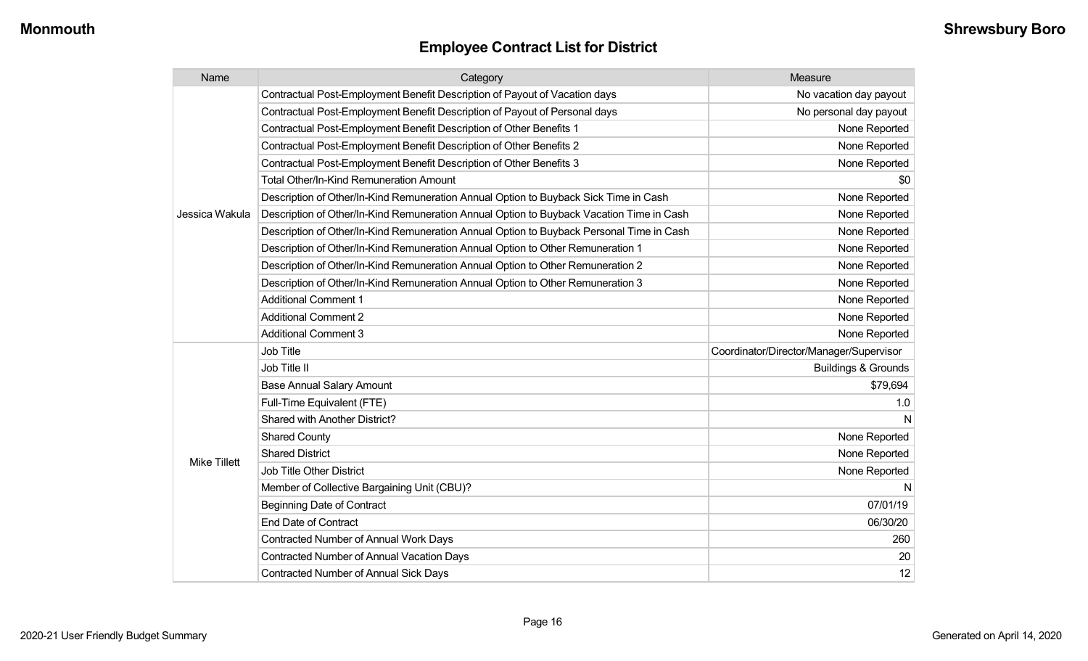| Name                | Category                                                                                 | Measure                                 |
|---------------------|------------------------------------------------------------------------------------------|-----------------------------------------|
|                     | Contractual Post-Employment Benefit Description of Payout of Vacation days               | No vacation day payout                  |
|                     | Contractual Post-Employment Benefit Description of Payout of Personal days               | No personal day payout                  |
|                     | Contractual Post-Employment Benefit Description of Other Benefits 1                      | None Reported                           |
|                     | Contractual Post-Employment Benefit Description of Other Benefits 2                      | None Reported                           |
|                     | Contractual Post-Employment Benefit Description of Other Benefits 3                      | None Reported                           |
|                     | <b>Total Other/In-Kind Remuneration Amount</b>                                           | \$0                                     |
|                     | Description of Other/In-Kind Remuneration Annual Option to Buyback Sick Time in Cash     | None Reported                           |
| Jessica Wakula      | Description of Other/In-Kind Remuneration Annual Option to Buyback Vacation Time in Cash | None Reported                           |
|                     | Description of Other/In-Kind Remuneration Annual Option to Buyback Personal Time in Cash | None Reported                           |
|                     | Description of Other/In-Kind Remuneration Annual Option to Other Remuneration 1          | None Reported                           |
|                     | Description of Other/In-Kind Remuneration Annual Option to Other Remuneration 2          | None Reported                           |
|                     | Description of Other/In-Kind Remuneration Annual Option to Other Remuneration 3          | None Reported                           |
|                     | <b>Additional Comment 1</b>                                                              | None Reported                           |
|                     | <b>Additional Comment 2</b>                                                              | None Reported                           |
|                     | <b>Additional Comment 3</b>                                                              | None Reported                           |
|                     | <b>Job Title</b>                                                                         | Coordinator/Director/Manager/Supervisor |
|                     | Job Title II                                                                             | <b>Buildings &amp; Grounds</b>          |
|                     | <b>Base Annual Salary Amount</b>                                                         | \$79,694                                |
|                     | Full-Time Equivalent (FTE)                                                               | 1.0                                     |
|                     | Shared with Another District?                                                            | N                                       |
|                     | <b>Shared County</b>                                                                     | None Reported                           |
| <b>Mike Tillett</b> | <b>Shared District</b>                                                                   | None Reported                           |
|                     | <b>Job Title Other District</b>                                                          | None Reported                           |
|                     | Member of Collective Bargaining Unit (CBU)?                                              | N                                       |
|                     | <b>Beginning Date of Contract</b>                                                        | 07/01/19                                |
|                     | <b>End Date of Contract</b>                                                              | 06/30/20                                |
|                     | Contracted Number of Annual Work Days                                                    | 260                                     |
|                     | <b>Contracted Number of Annual Vacation Days</b>                                         | 20                                      |
|                     | <b>Contracted Number of Annual Sick Days</b>                                             | 12                                      |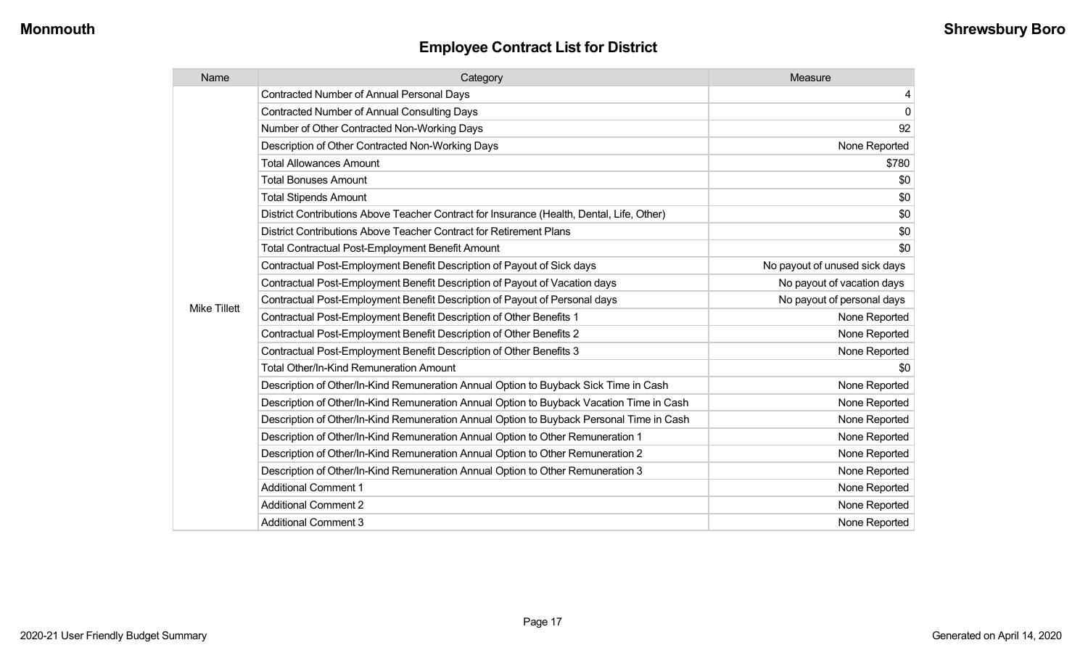| Name                | Category                                                                                  | Measure                       |
|---------------------|-------------------------------------------------------------------------------------------|-------------------------------|
|                     | <b>Contracted Number of Annual Personal Days</b>                                          | 4                             |
|                     | <b>Contracted Number of Annual Consulting Days</b>                                        | $\mathbf 0$                   |
|                     | Number of Other Contracted Non-Working Days                                               | 92                            |
|                     | Description of Other Contracted Non-Working Days                                          | None Reported                 |
|                     | <b>Total Allowances Amount</b>                                                            | \$780                         |
|                     | <b>Total Bonuses Amount</b>                                                               | \$0                           |
|                     | <b>Total Stipends Amount</b>                                                              | \$0                           |
|                     | District Contributions Above Teacher Contract for Insurance (Health, Dental, Life, Other) | \$0                           |
|                     | District Contributions Above Teacher Contract for Retirement Plans                        | \$0                           |
|                     | Total Contractual Post-Employment Benefit Amount                                          | \$0                           |
|                     | Contractual Post-Employment Benefit Description of Payout of Sick days                    | No payout of unused sick days |
|                     | Contractual Post-Employment Benefit Description of Payout of Vacation days                | No payout of vacation days    |
| <b>Mike Tillett</b> | Contractual Post-Employment Benefit Description of Payout of Personal days                | No payout of personal days    |
|                     | Contractual Post-Employment Benefit Description of Other Benefits 1                       | None Reported                 |
|                     | Contractual Post-Employment Benefit Description of Other Benefits 2                       | None Reported                 |
|                     | Contractual Post-Employment Benefit Description of Other Benefits 3                       | None Reported                 |
|                     | Total Other/In-Kind Remuneration Amount                                                   | \$0                           |
|                     | Description of Other/In-Kind Remuneration Annual Option to Buyback Sick Time in Cash      | None Reported                 |
|                     | Description of Other/In-Kind Remuneration Annual Option to Buyback Vacation Time in Cash  | None Reported                 |
|                     | Description of Other/In-Kind Remuneration Annual Option to Buyback Personal Time in Cash  | None Reported                 |
|                     | Description of Other/In-Kind Remuneration Annual Option to Other Remuneration 1           | None Reported                 |
|                     | Description of Other/In-Kind Remuneration Annual Option to Other Remuneration 2           | None Reported                 |
|                     | Description of Other/In-Kind Remuneration Annual Option to Other Remuneration 3           | None Reported                 |
|                     | <b>Additional Comment 1</b>                                                               | None Reported                 |
|                     | <b>Additional Comment 2</b>                                                               | None Reported                 |
|                     | <b>Additional Comment 3</b>                                                               | None Reported                 |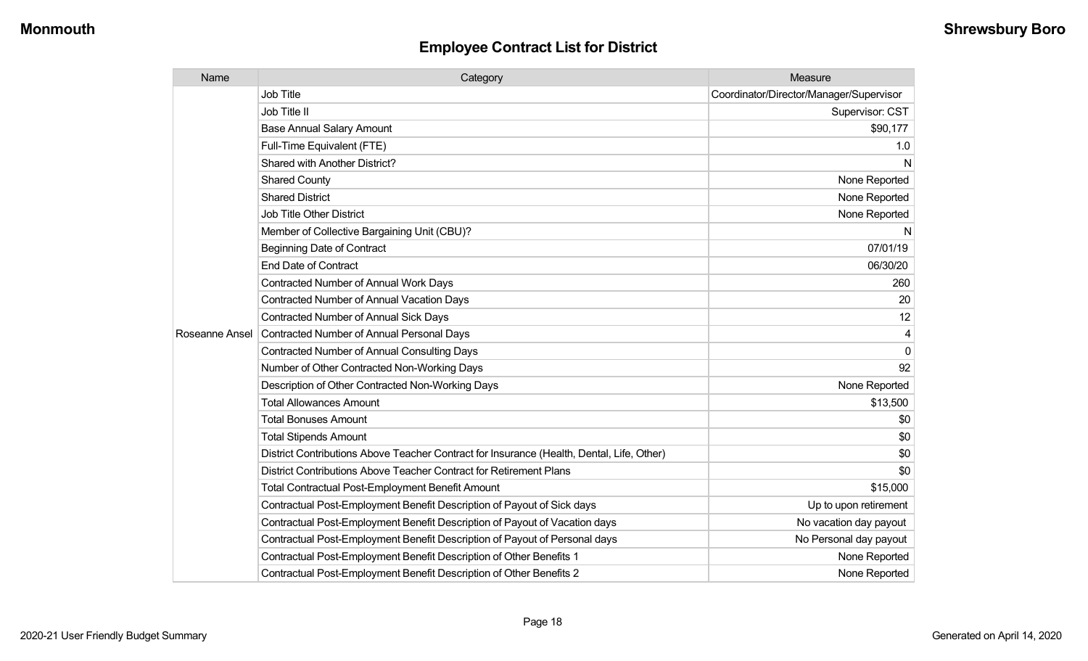| Name           | Category                                                                                  | Measure                                 |
|----------------|-------------------------------------------------------------------------------------------|-----------------------------------------|
|                | <b>Job Title</b>                                                                          | Coordinator/Director/Manager/Supervisor |
|                | Job Title II                                                                              | Supervisor: CST                         |
|                | <b>Base Annual Salary Amount</b>                                                          | \$90,177                                |
|                | Full-Time Equivalent (FTE)                                                                | 1.0                                     |
|                | <b>Shared with Another District?</b>                                                      | N                                       |
|                | <b>Shared County</b>                                                                      | None Reported                           |
|                | <b>Shared District</b>                                                                    | None Reported                           |
|                | <b>Job Title Other District</b>                                                           | None Reported                           |
|                | Member of Collective Bargaining Unit (CBU)?                                               | N                                       |
|                | <b>Beginning Date of Contract</b>                                                         | 07/01/19                                |
|                | <b>End Date of Contract</b>                                                               | 06/30/20                                |
|                | <b>Contracted Number of Annual Work Days</b>                                              | 260                                     |
|                | <b>Contracted Number of Annual Vacation Days</b>                                          | 20                                      |
|                | Contracted Number of Annual Sick Days                                                     | 12                                      |
| Roseanne Ansel | Contracted Number of Annual Personal Days                                                 | 4                                       |
|                | <b>Contracted Number of Annual Consulting Days</b>                                        | $\mathbf 0$                             |
|                | Number of Other Contracted Non-Working Days                                               | 92                                      |
|                | Description of Other Contracted Non-Working Days                                          | None Reported                           |
|                | <b>Total Allowances Amount</b>                                                            | \$13,500                                |
|                | <b>Total Bonuses Amount</b>                                                               | \$0                                     |
|                | <b>Total Stipends Amount</b>                                                              | \$0                                     |
|                | District Contributions Above Teacher Contract for Insurance (Health, Dental, Life, Other) | \$0                                     |
|                | District Contributions Above Teacher Contract for Retirement Plans                        | \$0                                     |
|                | <b>Total Contractual Post-Employment Benefit Amount</b>                                   | \$15,000                                |
|                | Contractual Post-Employment Benefit Description of Payout of Sick days                    | Up to upon retirement                   |
|                | Contractual Post-Employment Benefit Description of Payout of Vacation days                | No vacation day payout                  |
|                | Contractual Post-Employment Benefit Description of Payout of Personal days                | No Personal day payout                  |
|                | Contractual Post-Employment Benefit Description of Other Benefits 1                       | None Reported                           |
|                | Contractual Post-Employment Benefit Description of Other Benefits 2                       | None Reported                           |